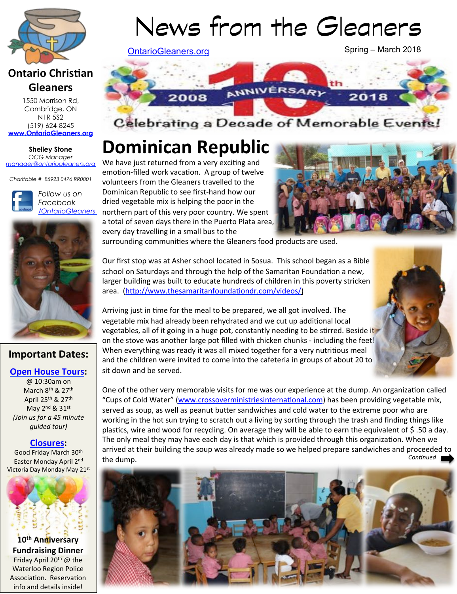

# **Ontario Christian Gleaners**

1550 Morrison Rd, Cambridge, ON N1R 5S2 (519) 624-8245 **www.OntarioGleaners.org**

#### **Shelley Stone** *OCG Manager manager@ontariogleaners.org*

*Charitable # 85923 0476 RR0001* 



*Follow us on Facebook /OntarioGleaners*



# **Important Dates:**

#### **Open House Tours:**

@ 10:30am on March 8<sup>th</sup> & 27<sup>th</sup> April 25<sup>th</sup> & 27<sup>th</sup> May 2<sup>nd</sup> & 31st *(Join us for a 45 minute) guided tour)* 

#### **Closures:**

Good Friday March 30<sup>th</sup> Easter Monday April 2nd Victoria Day Monday May 21st



**Fundraising Dinner** Friday April  $20^{th}$  @ the Waterloo Region Police Association. Reservation info and details inside!

# News from the Gleaners

OntarioGleaners.org

Spring – March 2018



Celebrating a Decade of Memorable Events

# **Dominican Republic**

We have just returned from a very exciting and emotion-filled work vacation. A group of twelve volunteers from the Gleaners travelled to the Dominican Republic to see first-hand how our dried vegetable mix is helping the poor in the northern part of this very poor country. We spent a total of seven days there in the Puerto Plata area, every day travelling in a small bus to the



surrounding communities where the Gleaners food products are used.

Our first stop was at Asher school located in Sosua. This school began as a Bible school on Saturdays and through the help of the Samaritan Foundation a new, larger building was built to educate hundreds of children in this poverty stricken area. (http://www.thesamaritanfoundationdr.com/videos/)

Arriving just in time for the meal to be prepared, we all got involved. The vegetable mix had already been rehydrated and we cut up additional local vegetables, all of it going in a huge pot, constantly needing to be stirred. Beside it on the stove was another large pot filled with chicken chunks - including the feet! When everything was ready it was all mixed together for a very nutritious meal and the children were invited to come into the cafeteria in groups of about 20 to sit down and be served.



One of the other very memorable visits for me was our experience at the dump. An organization called "Cups of Cold Water" (www.crossoverministriesinternational.com) has been providing vegetable mix, served as soup, as well as peanut butter sandwiches and cold water to the extreme poor who are working in the hot sun trying to scratch out a living by sorting through the trash and finding things like plastics, wire and wood for recycling. On average they will be able to earn the equivalent of \$.50 a day. The only meal they may have each day is that which is provided through this organization. When we arrived at their building the soup was already made so we helped prepare sandwiches and proceeded to the dump. *Con5nued* 

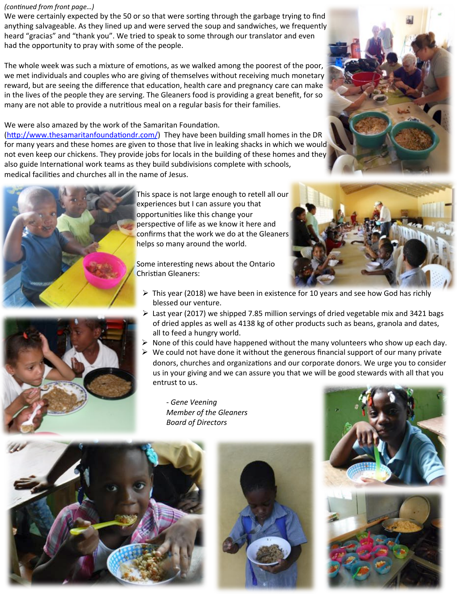#### *(continued from front page...)*

We were certainly expected by the 50 or so that were sorting through the garbage trying to find anything salvageable. As they lined up and were served the soup and sandwiches, we frequently heard "gracias" and "thank you". We tried to speak to some through our translator and even had the opportunity to pray with some of the people.

The whole week was such a mixture of emotions, as we walked among the poorest of the poor, we met individuals and couples who are giving of themselves without receiving much monetary reward, but are seeing the difference that education, health care and pregnancy care can make in the lives of the people they are serving. The Gleaners food is providing a great benefit, for so many are not able to provide a nutritious meal on a regular basis for their families.

#### We were also amazed by the work of the Samaritan Foundation.

(http://www.thesamaritanfoundationdr.com/) They have been building small homes in the DR for many years and these homes are given to those that live in leaking shacks in which we would not even keep our chickens. They provide jobs for locals in the building of these homes and they also guide International work teams as they build subdivisions complete with schools, medical facilities and churches all in the name of Jesus.



This space is not large enough to retell all our experiences but I can assure you that opportunities like this change your perspective of life as we know it here and confirms that the work we do at the Gleaners helps so many around the world.

Some interesting news about the Ontario Christian Gleaners:

- $\triangleright$  This year (2018) we have been in existence for 10 years and see how God has richly blessed our venture.
- $\triangleright$  Last year (2017) we shipped 7.85 million servings of dried vegetable mix and 3421 bags of dried apples as well as 4138 kg of other products such as beans, granola and dates, all to feed a hungry world.
- $\triangleright$  None of this could have happened without the many volunteers who show up each day.
- $\triangleright$  We could not have done it without the generous financial support of our many private donors, churches and organizations and our corporate donors. We urge you to consider us in your giving and we can assure you that we will be good stewards with all that you entrust to us.

- Gene Veening **Member of the Gleaners** *Board of Directors* 







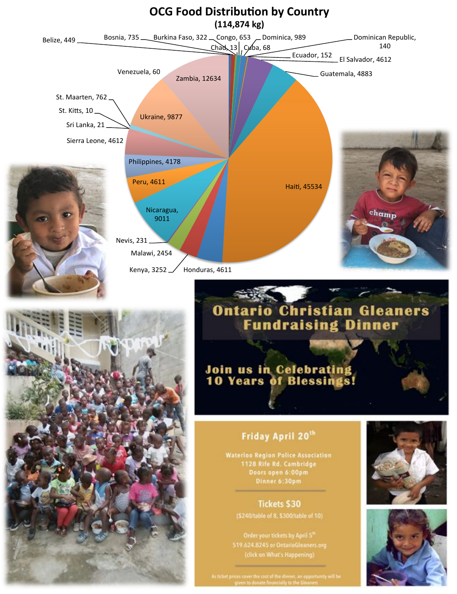